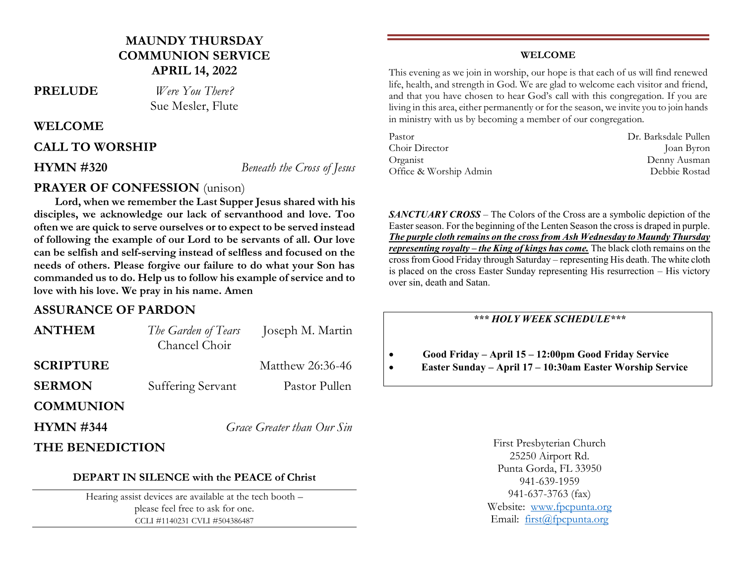# **MAUNDY THURSDAY COMMUNION SERVICE APRIL 14, 2022**

**PRELUDE** *Were You There?* Sue Mesler, Flute

#### **WELCOME**

## **CALL TO WORSHIP**

**HYMN #320** *Beneath the Cross of Jesus*

## **PRAYER OF CONFESSION** (unison)

**Lord, when we remember the Last Supper Jesus shared with his disciples, we acknowledge our lack of servanthood and love. Too often we are quick to serve ourselves or to expect to be served instead of following the example of our Lord to be servants of all. Our love can be selfish and self-serving instead of selfless and focused on the needs of others. Please forgive our failure to do what your Son has commanded us to do. Help us to follow his example of service and to love with his love. We pray in his name. Amen**

## **ASSURANCE OF PARDON**

| <b>ANTHEM</b>    | The Garden of Tears<br>Chancel Choir | Joseph M. Martin           |
|------------------|--------------------------------------|----------------------------|
| <b>SCRIPTURE</b> |                                      | Matthew 26:36-46           |
| <b>SERMON</b>    | Suffering Servant                    | Pastor Pullen              |
| <b>COMMUNION</b> |                                      |                            |
| $HYMN$ #344      |                                      | Grace Greater than Our Sin |
| THE BENEDICTION  |                                      |                            |
|                  |                                      |                            |

### **DEPART IN SILENCE with the PEACE of Christ**

Hearing assist devices are available at the tech booth – please feel free to ask for one. CCLI #1140231 CVLI #504386487

#### **WELCOME**

This evening as we join in worship, our hope is that each of us will find renewed life, health, and strength in God. We are glad to welcome each visitor and friend, and that you have chosen to hear God's call with this congregation. If you are living in this area, either permanently or for the season, we invite you to join hands in ministry with us by becoming a member of our congregation.

| Pastor                 | Dr. Barksdale Pullen |
|------------------------|----------------------|
| Choir Director         | Joan Byron           |
| Organist               | Denny Ausman         |
| Office & Worship Admin | Debbie Rostad        |

*SANCTUARY CROSS* – The Colors of the Cross are a symbolic depiction of the Easter season. For the beginning of the Lenten Season the cross is draped in purple. *The purple cloth remains on the cross from Ash Wednesday to Maundy Thursday representing royalty – the King of kings has come.* The black cloth remains on the cross from Good Friday through Saturday – representing His death. The white cloth is placed on the cross Easter Sunday representing His resurrection – His victory over sin, death and Satan.

#### *\*\*\* HOLY WEEK SCHEDULE\*\*\**

- **Good Friday – April 15 – 12:00pm Good Friday Service**
- • **Easter Sunday – April 17 – 10:30am Easter Worship Service**

First Presbyterian Church 25250 Airport Rd. Punta Gorda, FL 33950 941-639-1959 941-637-3763 (fax) Website: www.fpcpunta.org Email: first@fpcpunta.org